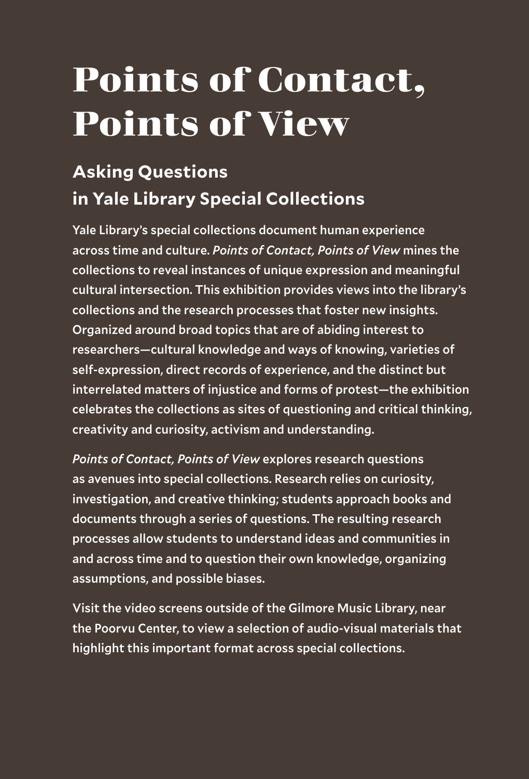### **Points of Contact, Points of View**

#### **Asking Questions in Yale Library Special Collections**

Yale Library's special collections document human experience across time and culture. *Points of Contact, Points of View* mines the collections to reveal instances of unique expression and meaningful cultural intersection. This exhibition provides views into the library's collections and the research processes that foster new insights. Organized around broad topics that are of abiding interest to researchers—cultural knowledge and ways of knowing, varieties of self-expression, direct records of experience, and the distinct but interrelated matters of injustice and forms of protest—the exhibition celebrates the collections as sites of questioning and critical thinking, creativity and curiosity, activism and understanding.

*Points of Contact, Points of View* explores research questions as avenues into special collections. Research relies on curiosity, investigation, and creative thinking; students approach books and documents through a series of questions. The resulting research processes allow students to understand ideas and communities in and across time and to question their own knowledge, organizing assumptions, and possible biases.

Visit the video screens outside of the Gilmore Music Library, near the Poorvu Center, to view a selection of audio-visual materials that highlight this important format across special collections.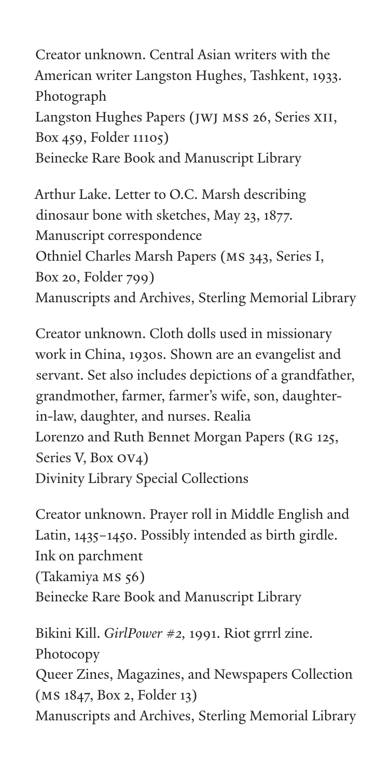Creator unknown. Central Asian writers with the American writer Langston Hughes, Tashkent, 1933. Photograph Langston Hughes Papers (JWJ MSS 26, Series XII, Box 459, Folder 11105) Beinecke Rare Book and Manuscript Library

Arthur Lake. Letter to O.C. Marsh describing dinosaur bone with sketches, May 23, 1877. Manuscript correspondence Othniel Charles Marsh Papers (MS 343, Series I, Box 20, Folder 799) Manuscripts and Archives, Sterling Memorial Library

Creator unknown. Cloth dolls used in missionary work in China, 1930s. Shown are an evangelist and servant. Set also includes depictions of a grandfather, grandmother, farmer, farmer's wife, son, daughterin-law, daughter, and nurses. Realia Lorenzo and Ruth Bennet Morgan Papers (RG 125, Series V, Box OV4) Divinity Library Special Collections

Creator unknown. Prayer roll in Middle English and Latin, 1435–1450. Possibly intended as birth girdle. Ink on parchment (Takamiya MS 56) Beinecke Rare Book and Manuscript Library

Bikini Kill. *GirlPower #2,* 1991. Riot grrrl zine. Photocopy Queer Zines, Magazines, and Newspapers Collection (MS 1847, Box 2, Folder 13) Manuscripts and Archives, Sterling Memorial Library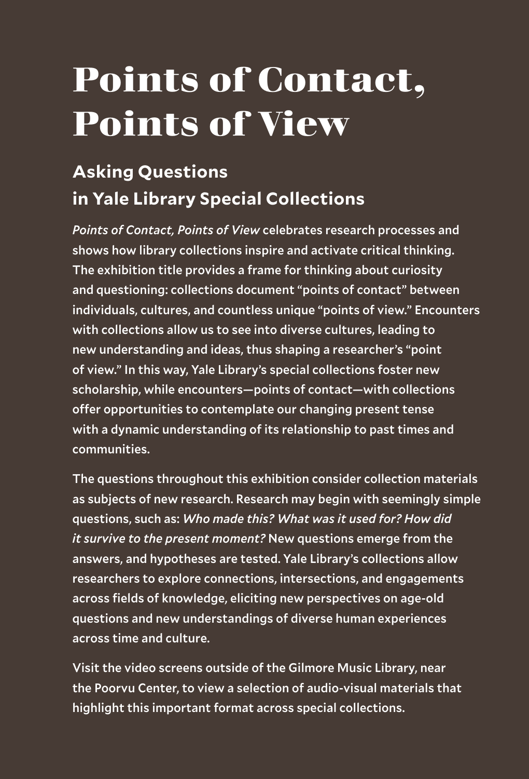### **Points of Contact, Points of View**

#### **Asking Questions in Yale Library Special Collections**

*Points of Contact, Points of View* celebrates research processes and shows how library collections inspire and activate critical thinking. The exhibition title provides a frame for thinking about curiosity and questioning: collections document "points of contact" between individuals, cultures, and countless unique "points of view." Encounters with collections allow us to see into diverse cultures, leading to new understanding and ideas, thus shaping a researcher's "point of view." In this way, Yale Library's special collections foster new scholarship, while encounters—points of contact—with collections offer opportunities to contemplate our changing present tense with a dynamic understanding of its relationship to past times and communities.

The questions throughout this exhibition consider collection materials as subjects of new research. Research may begin with seemingly simple questions, such as: *Who made this? What was it used for? How did it survive to the present moment?* New questions emerge from the answers, and hypotheses are tested. Yale Library's collections allow researchers to explore connections, intersections, and engagements across fields of knowledge, eliciting new perspectives on age-old questions and new understandings of diverse human experiences across time and culture.

Visit the video screens outside of the Gilmore Music Library, near the Poorvu Center, to view a selection of audio-visual materials that highlight this important format across special collections.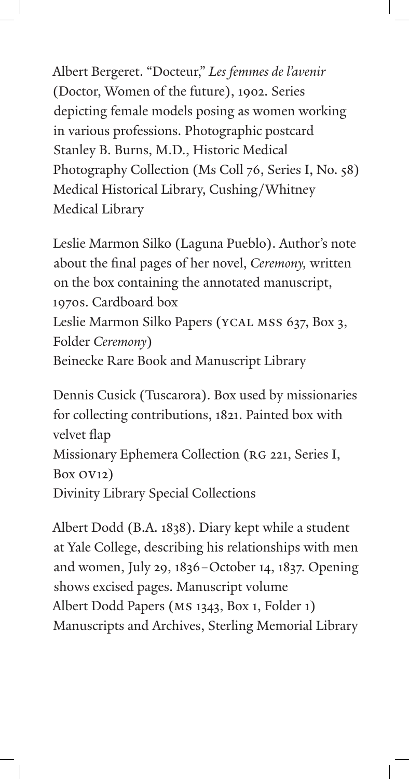Albert Bergeret. "Docteur," *Les femmes de l'avenir*  (Doctor, Women of the future), 1902. Series depicting female models posing as women working in various professions. Photographic postcard Stanley B. Burns, M.D., Historic Medical Photography Collection (Ms Coll 76, Series I, No. 58) Medical Historical Library, Cushing/Whitney Medical Library

Leslie Marmon Silko (Laguna Pueblo). Author's note about the final pages of her novel, *Ceremony,* written on the box containing the annotated manuscript, 1970s. Cardboard box Leslie Marmon Silko Papers (YCAL MSS 637, Box 3, Folder *Ceremony*) Beinecke Rare Book and Manuscript Library

Dennis Cusick (Tuscarora). Box used by missionaries for collecting contributions, 1821. Painted box with velvet flap Missionary Ephemera Collection (RG 221, Series I, Box OV12) Divinity Library Special Collections

Albert Dodd (B.A. 1838). Diary kept while a student at Yale College, describing his relationships with men and women, July 29, 1836–October 14, 1837. Opening shows excised pages. Manuscript volume Albert Dodd Papers (MS 1343, Box 1, Folder 1) Manuscripts and Archives, Sterling Memorial Library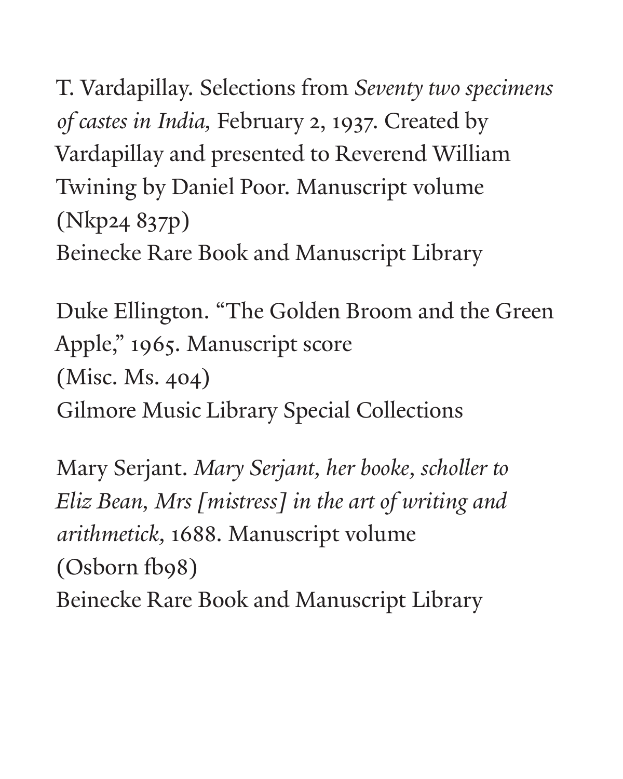T. Vardapillay. Selections from *Seventy two specimens of castes in India,* February 2, 1937. Created by Vardapillay and presented to Reverend William Twining by Daniel Poor. Manuscript volume (Nkp24 837p) Beinecke Rare Book and Manuscript Library

Duke Ellington. "The Golden Broom and the Green Apple," 1965. Manuscript score (Misc. Ms. 404) Gilmore Music Library Special Collections

Mary Serjant. *Mary Serjant, her booke, scholler to Eliz Bean, Mrs [mistress] in the art of writing and arithmetick,* 1688. Manuscript volume (Osborn fb98) Beinecke Rare Book and Manuscript Library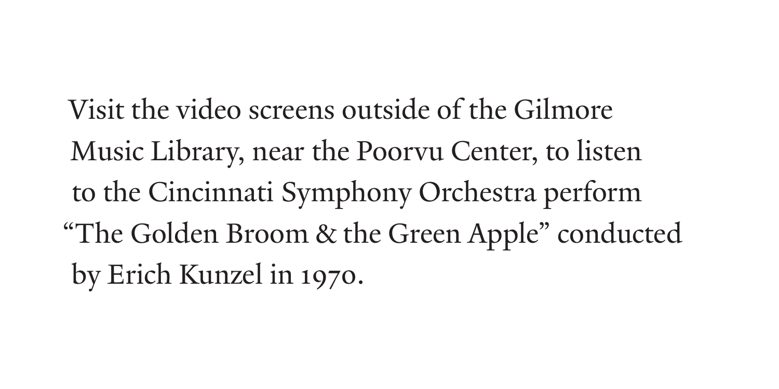Visit the video screens outside of the Gilmore Music Library, near the Poorvu Center, to listen to the Cincinnati Symphony Orchestra perform "The Golden Broom & the Green Apple" conducted by Erich Kunzel in 1970.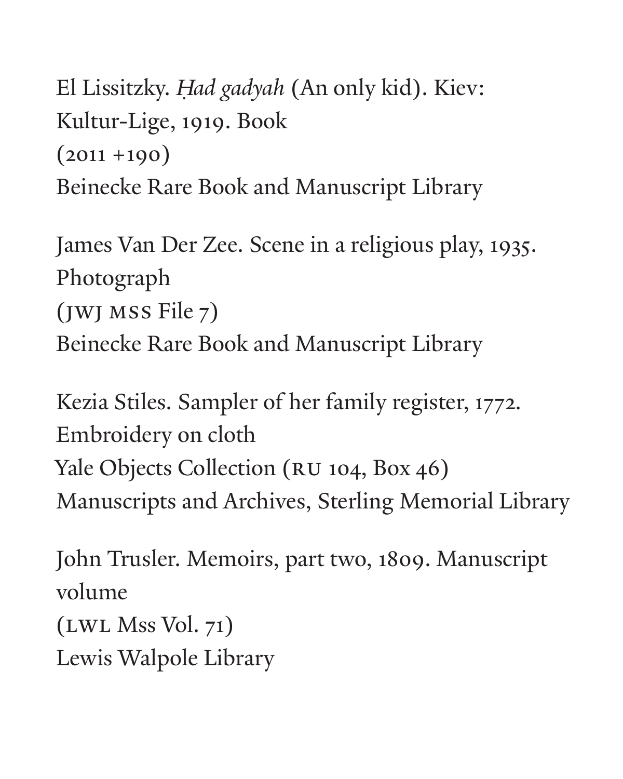El Lissitzky. *H ad gadyah* (An only kid). Kiev: *˙* Kultur-Lige, 1919. Book  $(2011 + 190)$ Beinecke Rare Book and Manuscript Library

James Van Der Zee. Scene in a religious play, 1935. Photograph (JWJ MSS File 7) Beinecke Rare Book and Manuscript Library

Kezia Stiles. Sampler of her family register, 1772. Embroidery on cloth Yale Objects Collection (RU 104, Box 46) Manuscripts and Archives, Sterling Memorial Library

John Trusler. Memoirs, part two, 1809. Manuscript volume (LWL Mss Vol. 71)

Lewis Walpole Library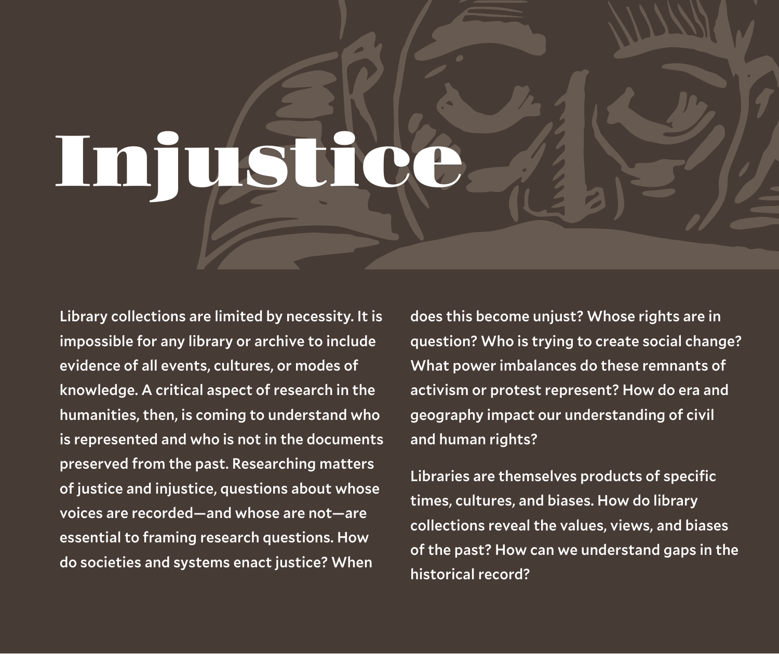Library collections are limited by necessity. It is impossible for any library or archive to include evidence of all events, cultures, or modes of knowledge. A critical aspect of research in the humanities, then, is coming to understand who is represented and who is not in the documents preserved from the past. Researching matters of justice and injustice, questions about whose voices are recorded—and whose are not—are essential to framing research questions. How do societies and systems enact justice? When

does this become unjust? Whose rights are in question? Who is trying to create social change? What power imbalances do these remnants of activism or protest represent? How do era and geography impact our understanding of civil and human rights?

Libraries are themselves products of specific times, cultures, and biases. How do library collections reveal the values, views, and biases of the past? How can we understand gaps in the historical record?



# **Injustice**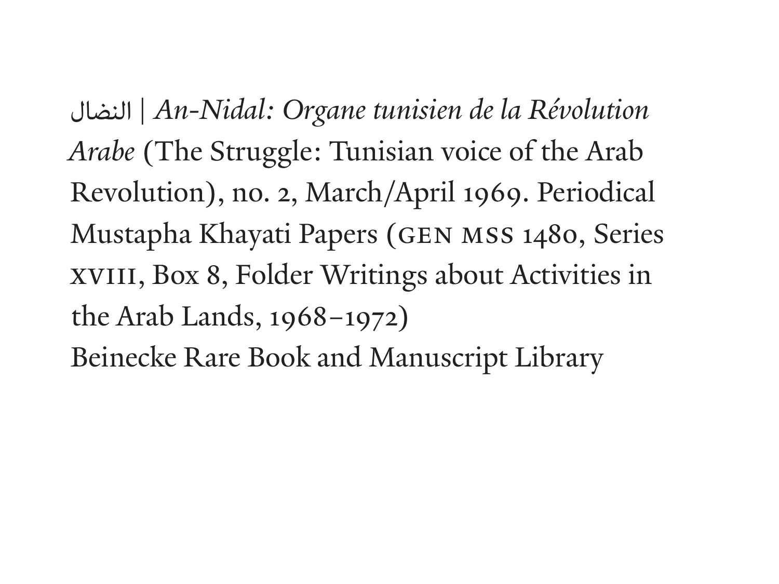| *An-Nidal: Organe tunisien de la Révolution*  النضال*Arabe* (The Struggle: Tunisian voice of the Arab Revolution), no. 2, March/April 1969. Periodical Mustapha Khayati Papers (GEN MSS 1480, Series XVIII, Box 8, Folder Writings about Activities in the Arab Lands, 1968–1972) Beinecke Rare Book and Manuscript Library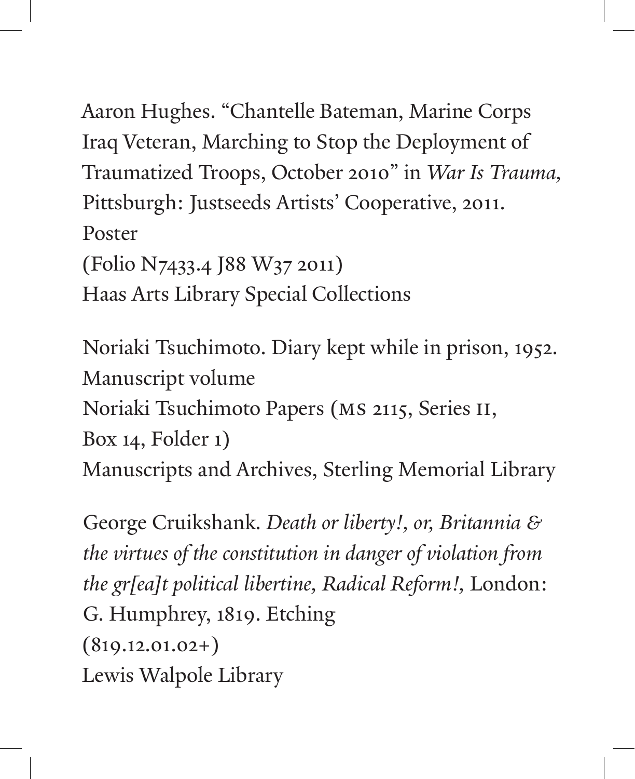Aaron Hughes. "Chantelle Bateman, Marine Corps Iraq Veteran, Marching to Stop the Deployment of Traumatized Troops, October 2010" in *War Is Trauma,* Pittsburgh: Justseeds Artists' Cooperative, 2011. Poster (Folio N7433.4 J88 W37 2011) Haas Arts Library Special Collections

Noriaki Tsuchimoto. Diary kept while in prison, 1952. Manuscript volume Noriaki Tsuchimoto Papers (MS 2115, Series II, Box 14, Folder 1) Manuscripts and Archives, Sterling Memorial Library

George Cruikshank. *Death or liberty!, or, Britannia & the virtues of the constitution in danger of violation from the gr[ea]t political libertine, Radical Reform!,* London: G. Humphrey, 1819. Etching  $(819.12.01.02+)$ Lewis Walpole Library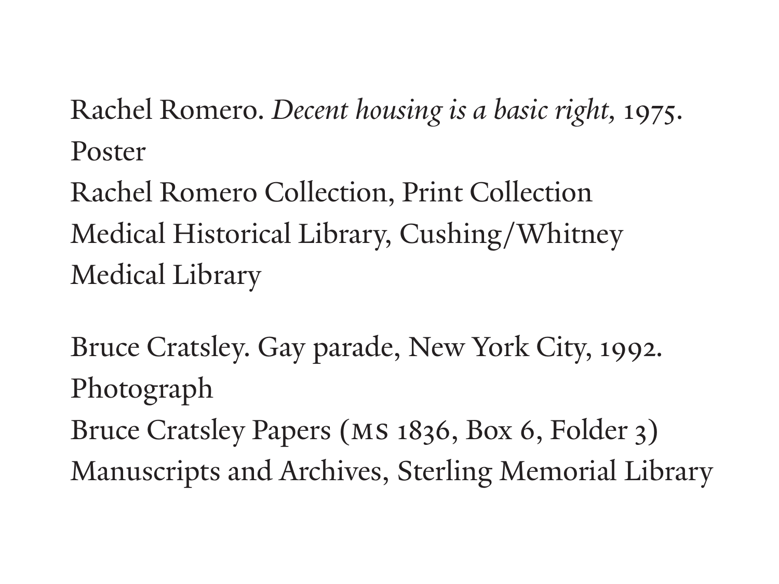Rachel Romero. *Decent housing is a basic right,* 1975. Poster

Rachel Romero Collection, Print Collection Medical Historical Library, Cushing/Whitney Medical Library

Bruce Cratsley. Gay parade, New York City, 1992. Photograph

Bruce Cratsley Papers (MS 1836, Box 6, Folder 3) Manuscripts and Archives, Sterling Memorial Library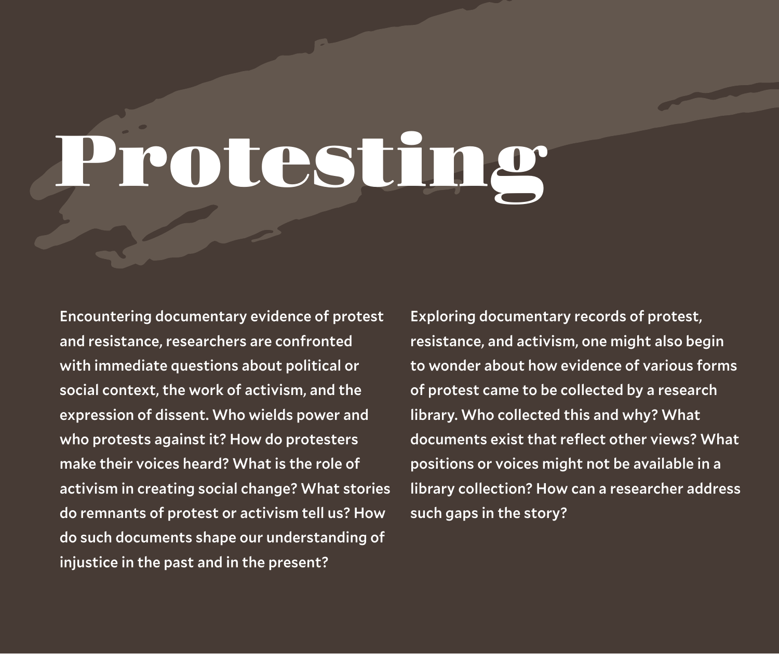Encountering documentary evidence of protest and resistance, researchers are confronted with immediate questions about political or social context, the work of activism, and the expression of dissent. Who wields power and who protests against it? How do protesters make their voices heard? What is the role of activism in creating social change? What stories do remnants of protest or activism tell us? How do such documents shape our understanding of injustice in the past and in the present?

Exploring documentary records of protest, resistance, and activism, one might also begin to wonder about how evidence of various forms of protest came to be collected by a research library. Who collected this and why? What documents exist that reflect other views? What positions or voices might not be available in a library collection? How can a researcher address such gaps in the story?



# **Protesting**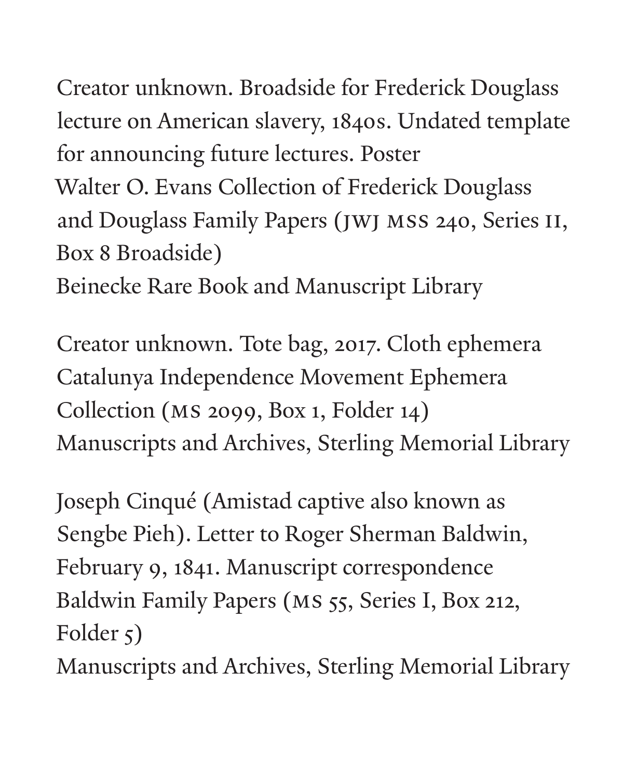Creator unknown. Broadside for Frederick Douglass lecture on American slavery, 1840s. Undated template for announcing future lectures. Poster Walter O. Evans Collection of Frederick Douglass and Douglass Family Papers (JWJ MSS 240, Series II, Box 8 Broadside) Beinecke Rare Book and Manuscript Library

Creator unknown. Tote bag, 2017. Cloth ephemera Catalunya Independence Movement Ephemera Collection (MS 2099, Box 1, Folder 14) Manuscripts and Archives, Sterling Memorial Library

Joseph Cinqué (Amistad captive also known as Sengbe Pieh). Letter to Roger Sherman Baldwin, February 9, 1841. Manuscript correspondence Baldwin Family Papers (MS 55, Series I, Box 212, Folder  $\zeta$ )

Manuscripts and Archives, Sterling Memorial Library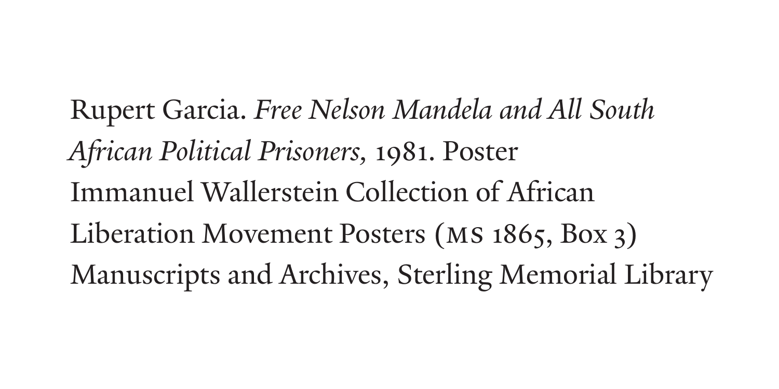Rupert Garcia. *Free Nelson Mandela and All South African Political Prisoners,* 1981. Poster Immanuel Wallerstein Collection of African Liberation Movement Posters (MS 1865, Box 3) Manuscripts and Archives, Sterling Memorial Library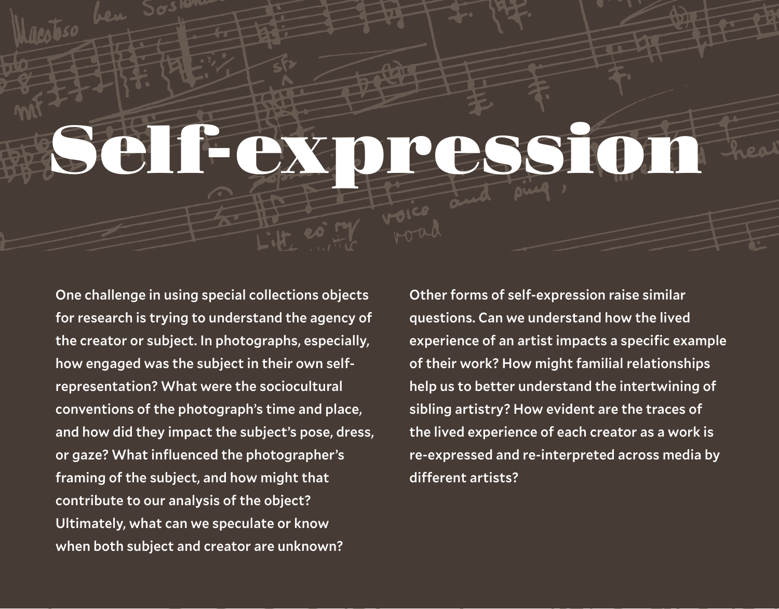One challenge in using special collections objects for research is trying to understand the agency of the creator or subject. In photographs, especially, how engaged was the subject in their own selfrepresentation? What were the sociocultural conventions of the photograph's time and place, and how did they impact the subject's pose, dress, or gaze? What influenced the photographer's framing of the subject, and how might that contribute to our analysis of the object? Ultimately, what can we speculate or know when both subject and creator are unknown?

Other forms of self-expression raise similar questions. Can we understand how the lived experience of an artist impacts a specific example of their work? How might familial relationships help us to better understand the intertwining of sibling artistry? How evident are the traces of the lived experience of each creator as a work is re-expressed and re-interpreted across media by different artists?

# **Self-expression**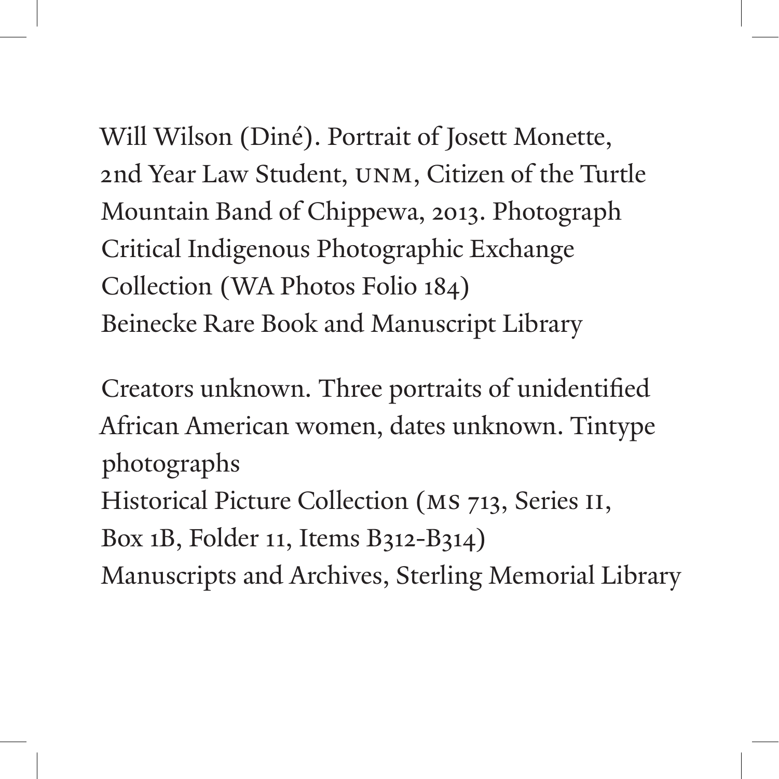Will Wilson (Diné). Portrait of Josett Monette, 2nd Year Law Student, UNM, Citizen of the Turtle Mountain Band of Chippewa, 2013. Photograph Critical Indigenous Photographic Exchange Collection (WA Photos Folio 184) Beinecke Rare Book and Manuscript Library

Creators unknown. Three portraits of unidentified African American women, dates unknown. Tintype photographs Historical Picture Collection (MS 713, Series II, Box 1B, Folder 11, Items B312-B314) Manuscripts and Archives, Sterling Memorial Library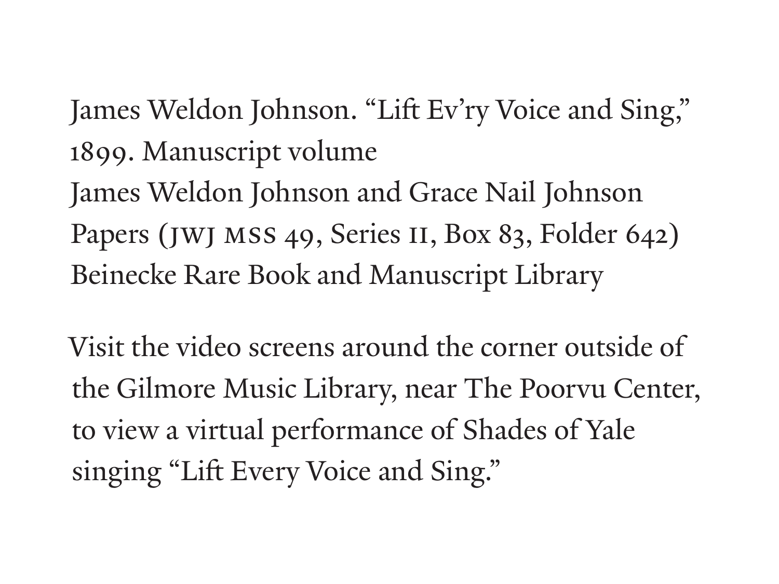James Weldon Johnson. "Lift Ev'ry Voice and Sing," 1899. Manuscript volume James Weldon Johnson and Grace Nail Johnson Papers (JWJ MSS 49, Series II, Box 83, Folder 642) Beinecke Rare Book and Manuscript Library

Visit the video screens around the corner outside of the Gilmore Music Library, near The Poorvu Center, to view a virtual performance of Shades of Yale singing "Lift Every Voice and Sing."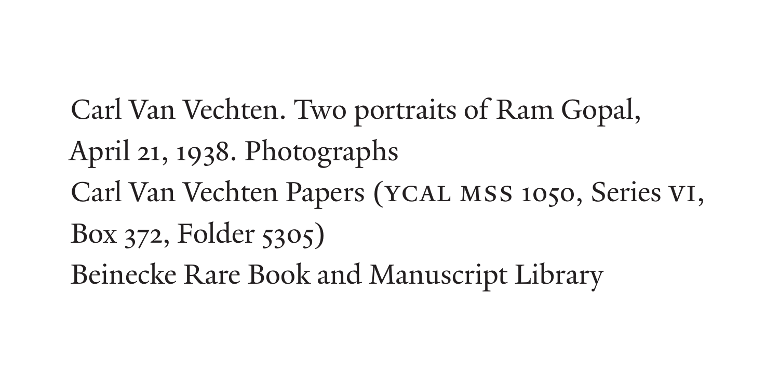Carl Van Vechten. Two portraits of Ram Gopal, April 21, 1938. Photographs Carl Van Vechten Papers (YCAL MSS 1050, Series VI, Box 372, Folder 5305) Beinecke Rare Book and Manuscript Library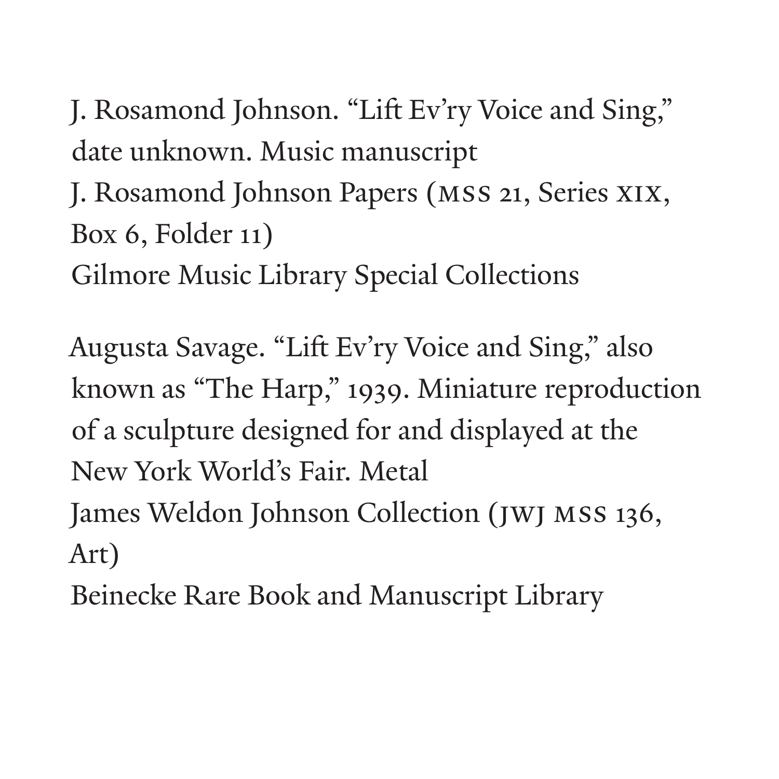J. Rosamond Johnson. "Lift Ev'ry Voice and Sing," date unknown. Music manuscript

J. Rosamond Johnson Papers (MSS 21, Series XIX, Box 6, Folder 11)

Gilmore Music Library Special Collections

Augusta Savage. "Lift Ev'ry Voice and Sing," also known as "The Harp," 1939. Miniature reproduction of a sculpture designed for and displayed at the New York World's Fair. Metal James Weldon Johnson Collection (JWJ MSS 136, Art)

Beinecke Rare Book and Manuscript Library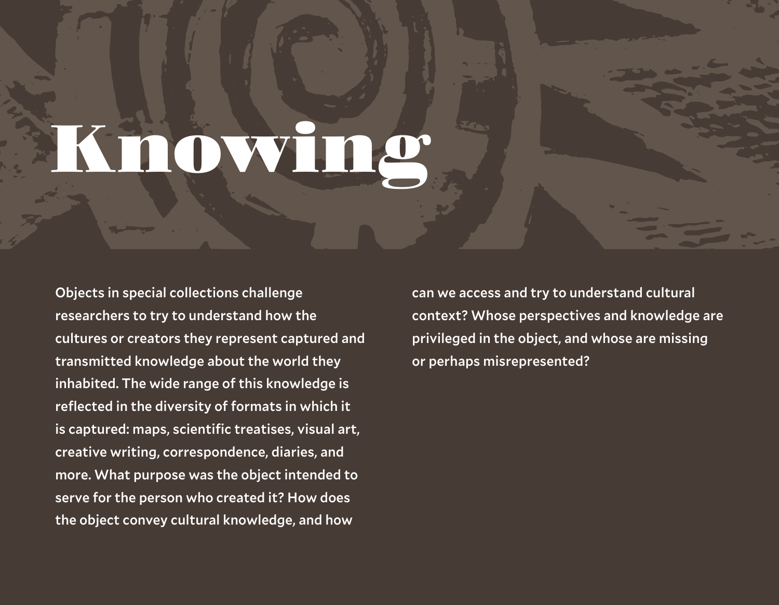Objects in special collections challenge researchers to try to understand how the cultures or creators they represent captured and transmitted knowledge about the world they inhabited. The wide range of this knowledge is reflected in the diversity of formats in which it is captured: maps, scientific treatises, visual art, creative writing, correspondence, diaries, and more. What purpose was the object intended to serve for the person who created it? How does the object convey cultural knowledge, and how

can we access and try to understand cultural context? Whose perspectives and knowledge are privileged in the object, and whose are missing or perhaps misrepresented?



## **Knowing**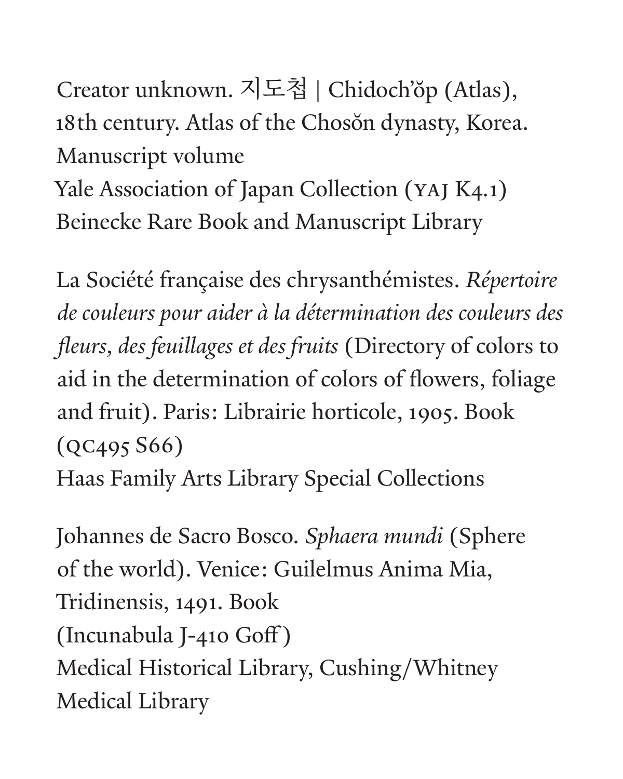Creator unknown. 지도첩 | Chidoch'ŏp (Atlas), 18th century. Atlas of the Chosŏn dynasty, Korea. Manuscript volume Yale Association of Japan Collection (YAJ K4.1) Beinecke Rare Book and Manuscript Library

La Société française des chrysanthémistes. *Répertoire de couleurs pour aider à la détermination des couleurs des fleurs, des feuillages et des fruits* (Directory of colors to aid in the determination of colors of flowers, foliage and fruit). Paris: Librairie horticole, 1905. Book (QC495 S66) Haas Family Arts Library Special Collections

Johannes de Sacro Bosco. *Sphaera mundi* (Sphere of the world). Venice: Guilelmus Anima Mia, Tridinensis, 1491. Book (Incunabula J-410 Goff ) Medical Historical Library, Cushing/Whitney Medical Library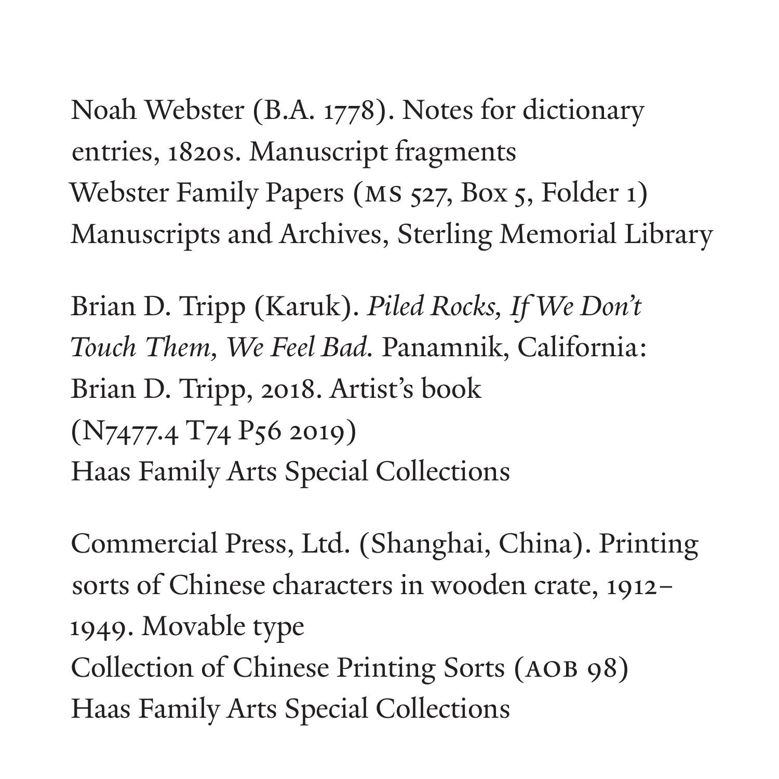Noah Webster (B.A. 1778). Notes for dictionary entries, 1820s. Manuscript fragments Webster Family Papers (MS 527, Box 5, Folder 1) Manuscripts and Archives, Sterling Memorial Library

Brian D. Tripp (Karuk). *Piled Rocks, If We Don't Touch Them, We Feel Bad.* Panamnik, California: Brian D. Tripp, 2018. Artist's book (N7477.4 T74 P56 2019) Haas Family Arts Special Collections

Commercial Press, Ltd. (Shanghai, China). Printing sorts of Chinese characters in wooden crate, 1912– 1949. Movable type Collection of Chinese Printing Sorts (AOB 98) Haas Family Arts Special Collections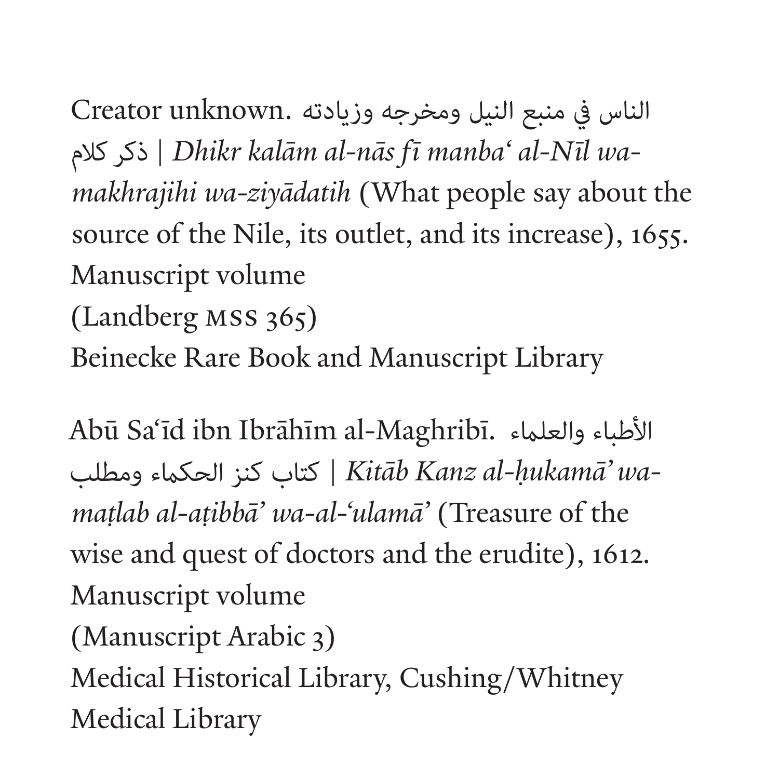Creator unknown. الناس يف منبع النيل ومخرجه وزيادته | *Dhikr kalām al-nās fī manba' al-Nīl wa-*ذكر كالم*makhrajihi wa-ziyādatih* (What people say about the source of the Nile, its outlet, and its increase), 1655. Manuscript volume (Landberg MSS 365) Beinecke Rare Book and Manuscript Library

Abū Sa*'*īd ibn Ibrāhīm al-Maghribī. األطباء والعلامء <sup>|</sup>*Kitāb Kanz al-h˙ ukamā' wa-*كتاب كنز الحكامء ومطلب *mat˙ lab al-at˙ ibbā' wa-al-'ulamā'* (Treasure of the wise and quest of doctors and the erudite), 1612. Manuscript volume (Manuscript Arabic 3) Medical Historical Library, Cushing/Whitney Medical Library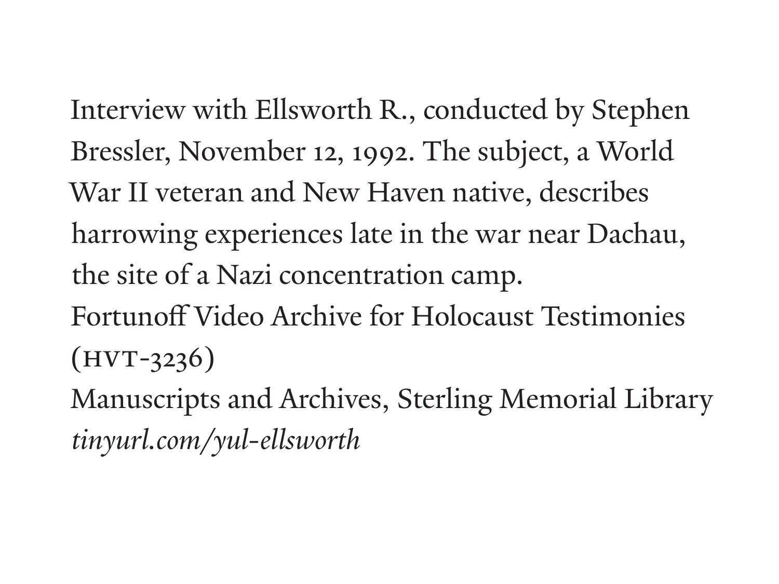Interview with Ellsworth R., conducted by Stephen Bressler, November 12, 1992. The subject, a World War II veteran and New Haven native, describes harrowing experiences late in the war near Dachau, the site of a Nazi concentration camp. Fortunoff Video Archive for Holocaust Testimonies  $(HVT-3236)$ 

Manuscripts and Archives, Sterling Memorial Library *tinyurl.com/yul-ellsworth*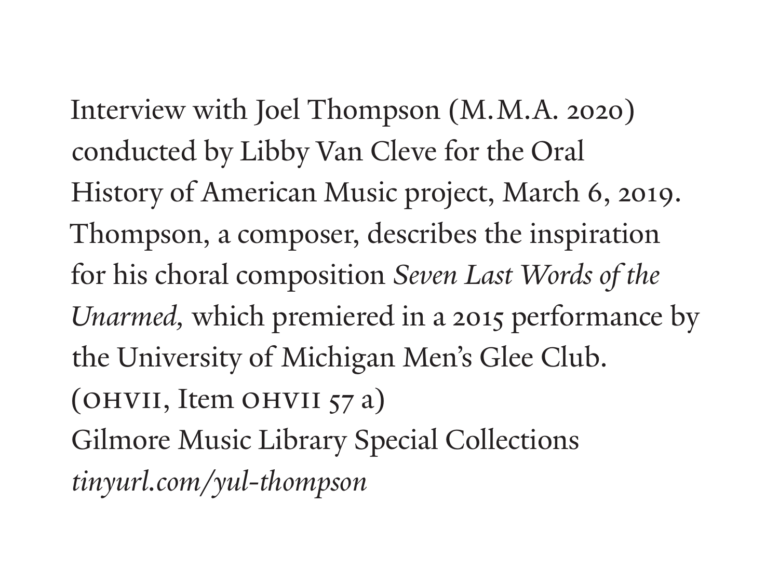Interview with Joel Thompson (M.M.A. 2020) conducted by Libby Van Cleve for the Oral History of American Music project, March 6, 2019. Thompson, a composer, describes the inspiration for his choral composition *Seven Last Words of the Unarmed,* which premiered in a 2015 performance by the University of Michigan Men's Glee Club. (OHVII, Item OHVII 57 a) Gilmore Music Library Special Collections *tinyurl.com/yul-thompson*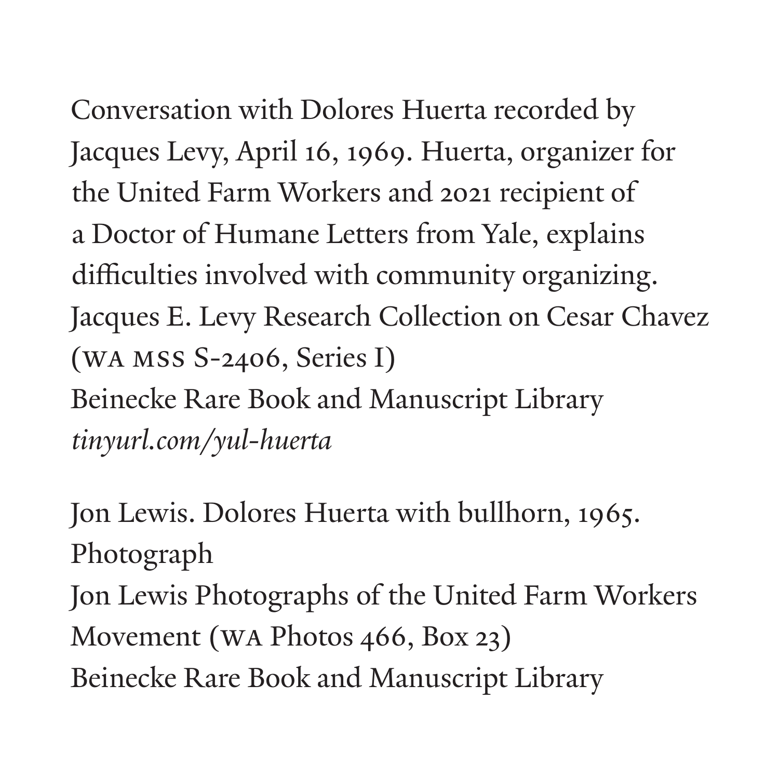Conversation with Dolores Huerta recorded by Jacques Levy, April 16, 1969. Huerta, organizer for the United Farm Workers and 2021 recipient of a Doctor of Humane Letters from Yale, explains difficulties involved with community organizing. Jacques E. Levy Research Collection on Cesar Chavez (WA MSS S-2406, Series I) Beinecke Rare Book and Manuscript Library *tinyurl.com/yul-huerta*

Jon Lewis. Dolores Huerta with bullhorn, 1965. Photograph Jon Lewis Photographs of the United Farm Workers Movement (WA Photos 466, Box 23) Beinecke Rare Book and Manuscript Library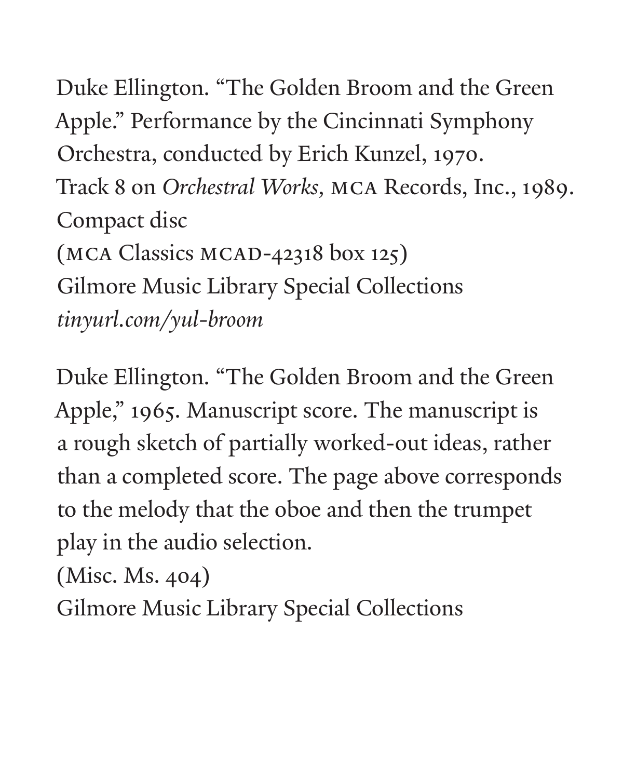Duke Ellington. "The Golden Broom and the Green Apple." Performance by the Cincinnati Symphony Orchestra, conducted by Erich Kunzel, 1970. Track 8 on *Orchestral Works,* MCA Records, Inc., 1989. Compact disc (MCA Classics MCAD-42318 box 125) Gilmore Music Library Special Collections *tinyurl.com/yul-broom*

Duke Ellington. "The Golden Broom and the Green Apple," 1965. Manuscript score. The manuscript is a rough sketch of partially worked-out ideas, rather than a completed score. The page above corresponds to the melody that the oboe and then the trumpet play in the audio selection.

(Misc. Ms. 404)

Gilmore Music Library Special Collections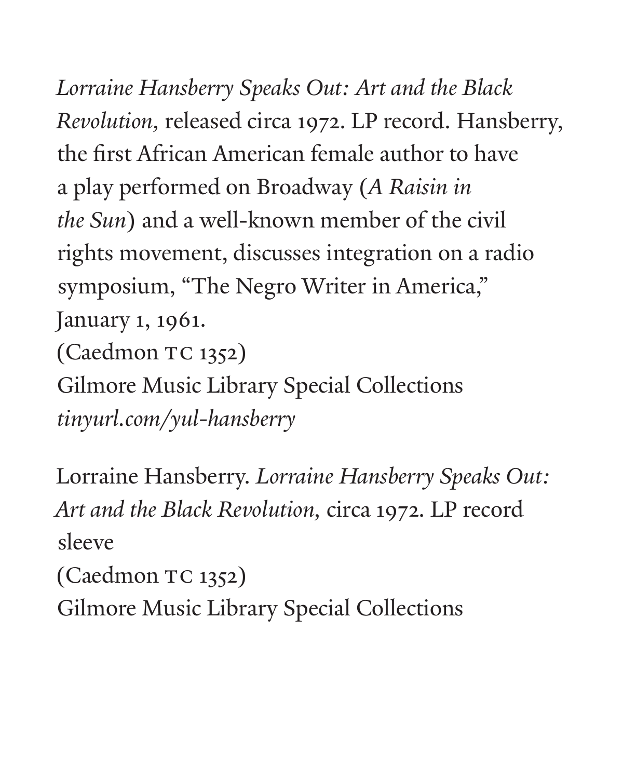*Lorraine Hansberry Speaks Out: Art and the Black Revolution,* released circa 1972. LP record. Hansberry, the first African American female author to have a play performed on Broadway (*A Raisin in the Sun*) and a well-known member of the civil rights movement, discusses integration on a radio symposium, "The Negro Writer in America," January 1, 1961. (Caedmon TC 1352) Gilmore Music Library Special Collections *tinyurl.com/yul-hansberry*

Lorraine Hansberry. *Lorraine Hansberry Speaks Out: Art and the Black Revolution,* circa 1972. LP record sleeve (Caedmon TC 1352) Gilmore Music Library Special Collections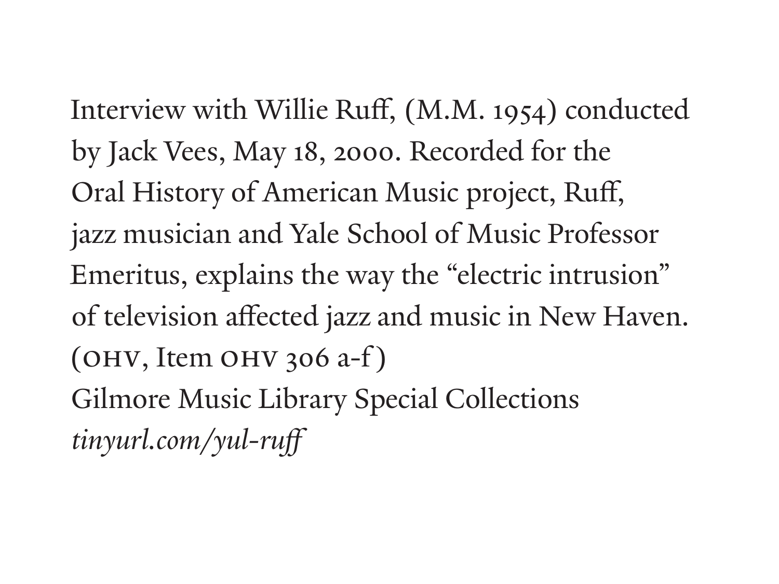Interview with Willie Ruff, (M.M. 1954) conducted by Jack Vees, May 18, 2000. Recorded for the Oral History of American Music project, Ruff, jazz musician and Yale School of Music Professor Emeritus, explains the way the "electric intrusion" of television affected jazz and music in New Haven.  $(OHV, Item OHV 306 a-f)$ Gilmore Music Library Special Collections *tinyurl.com/yul-ruff*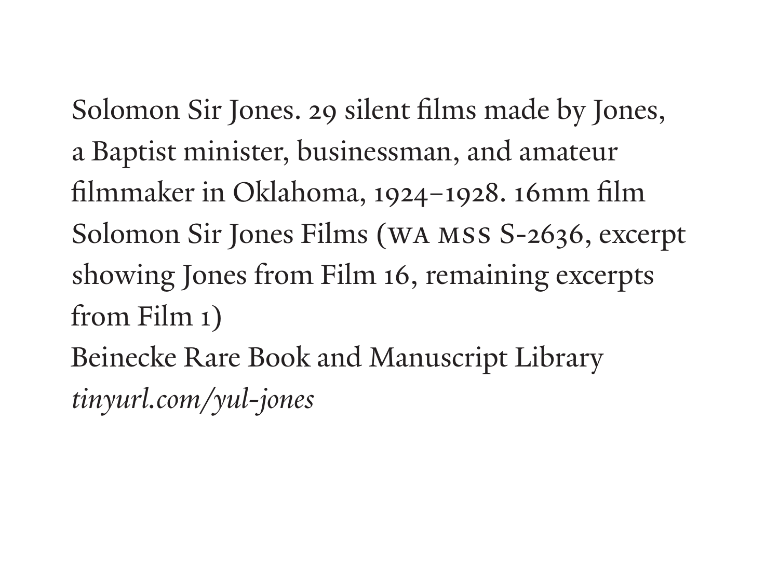Solomon Sir Jones. 29 silent films made by Jones, a Baptist minister, businessman, and amateur filmmaker in Oklahoma, 1924–1928. 16mm film Solomon Sir Jones Films (WA MSS S-2636, excerpt showing Jones from Film 16, remaining excerpts from Film 1)

Beinecke Rare Book and Manuscript Library *tinyurl.com/yul-jones*